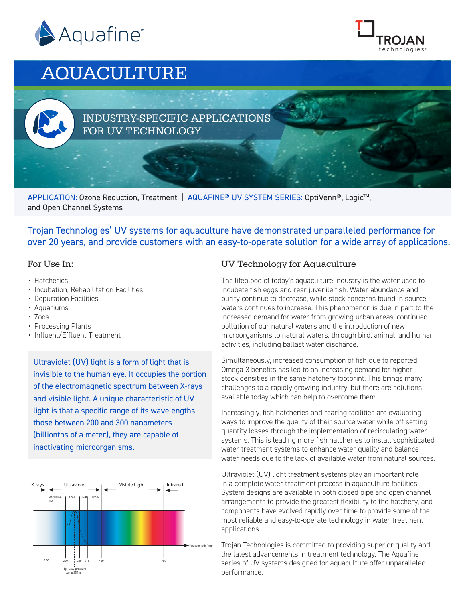



# AQUACULTURE

### INDUSTRY-SPECIFIC APPLICATIONS FOR UV TECHNOLOGY

APPLICATION: Ozone Reduction, Treatment | AQUAFINE® UV SYSTEM SERIES: OptiVenn®, Logic<sup>™</sup>, and Open Channel Systems

Trojan Technologies' UV systems for aquaculture have demonstrated unparalleled performance for over 20 years, and provide customers with an easy-to-operate solution for a wide array of applications.

#### For Use In:

- Hatcheries
- Incubation, Rehabilitation Facilities
- Depuration Facilities
- Aquariums
- Zoos
- Processing Plants
- Influent/Effluent Treatment

Ultraviolet (UV) light is a form of light that is invisible to the human eye. It occupies the portion of the electromagnetic spectrum between X-rays and visible light. A unique characteristic of UV light is that a specific range of its wavelengths, those between 200 and 300 nanometers (billionths of a meter), they are capable of inactivating microorganisms.



#### UV Technology for Aquaculture

The lifeblood of today's aquaculture industry is the water used to incubate fish eggs and rear juvenile fish. Water abundance and purity continue to decrease, while stock concerns found in source waters continues to increase. This phenomenon is due in part to the increased demand for water from growing urban areas, continued pollution of our natural waters and the introduction of new microorganisms to natural waters, through bird, animal, and human activities, including ballast water discharge.

Simultaneously, increased consumption of fish due to reported Omega-3 benefits has led to an increasing demand for higher stock densities in the same hatchery footprint. This brings many challenges to a rapidly growing industry, but there are solutions available today which can help to overcome them.

Increasingly, fish hatcheries and rearing facilities are evaluating ways to improve the quality of their source water while off-setting quantity losses through the implementation of recirculating water systems. This is leading more fish hatcheries to install sophisticated water treatment systems to enhance water quality and balance water needs due to the lack of available water from natural sources.

Ultraviolet (UV) light treatment systems play an important role in a complete water treatment process in aquaculture facilities. System designs are available in both closed pipe and open channel arrangements to provide the greatest flexibility to the hatchery, and components have evolved rapidly over time to provide some of the most reliable and easy-to-operate technology in water treatment applications.

Trojan Technologies is committed to providing superior quality and the latest advancements in treatment technology. The Aquafine series of UV systems designed for aquaculture offer unparalleled performance.